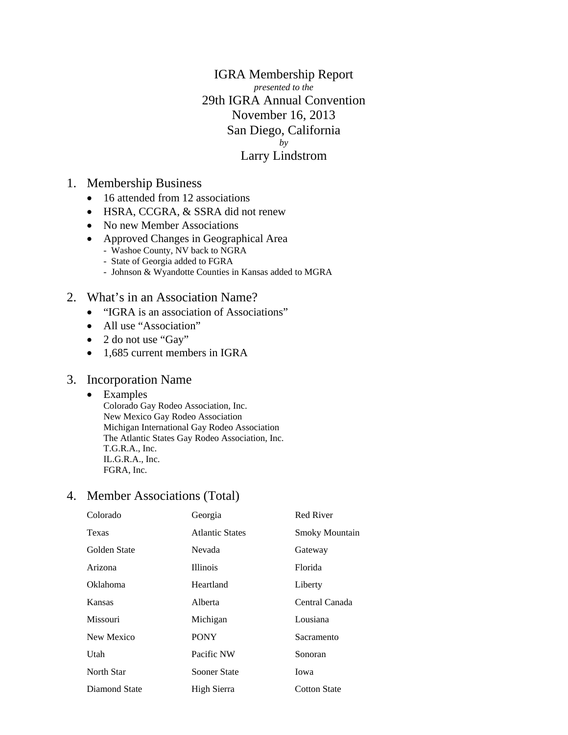IGRA Membership Report *presented to the*  29th IGRA Annual Convention November 16, 2013 San Diego, California *by*  Larry Lindstrom

### 1. Membership Business

- 16 attended from 12 associations
- HSRA, CCGRA, & SSRA did not renew
- No new Member Associations
- Approved Changes in Geographical Area
	- Washoe County, NV back to NGRA
	- State of Georgia added to FGRA
	- Johnson & Wyandotte Counties in Kansas added to MGRA
- 2. What's in an Association Name?
	- "IGRA is an association of Associations"
	- All use "Association"
	- 2 do not use "Gay"
	- 1,685 current members in IGRA

### 3. Incorporation Name

#### • Examples

Colorado Gay Rodeo Association, Inc. New Mexico Gay Rodeo Association Michigan International Gay Rodeo Association The Atlantic States Gay Rodeo Association, Inc. T.G.R.A., Inc. IL.G.R.A., Inc. FGRA, Inc.

### 4. Member Associations (Total)

| Colorado        | Georgia                | Red River           |
|-----------------|------------------------|---------------------|
| Texas           | <b>Atlantic States</b> | Smoky Mountain      |
| Golden State    | Nevada                 | Gateway             |
| Arizona         | <b>Illinois</b>        | Florida             |
| <b>Oklahoma</b> | Heartland              | Liberty             |
| Kansas          | Alberta                | Central Canada      |
| <b>Missouri</b> | Michigan               | Lousiana            |
| New Mexico      | <b>PONY</b>            | Sacramento          |
| Utah            | Pacific NW             | Sonoran             |
| North Star      | Sooner State           | Iowa                |
| Diamond State   | High Sierra            | <b>Cotton State</b> |